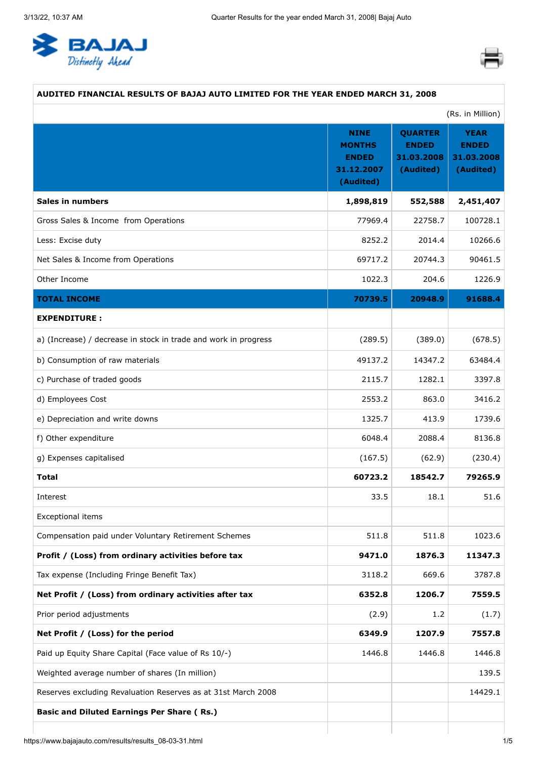<span id="page-0-0"></span>



# **AUDITED FINANCIAL RESULTS OF BAJAJ AUTO LIMITED FOR THE YEAR ENDED MARCH 31, 2008**

|                                                                 |                                                                         |                                                           | (Rs. in Million)                                       |
|-----------------------------------------------------------------|-------------------------------------------------------------------------|-----------------------------------------------------------|--------------------------------------------------------|
|                                                                 | <b>NINE</b><br><b>MONTHS</b><br><b>ENDED</b><br>31.12.2007<br>(Audited) | <b>QUARTER</b><br><b>ENDED</b><br>31.03.2008<br>(Audited) | <b>YEAR</b><br><b>ENDED</b><br>31.03.2008<br>(Audited) |
| <b>Sales in numbers</b>                                         | 1,898,819                                                               | 552,588                                                   | 2,451,407                                              |
| Gross Sales & Income from Operations                            | 77969.4                                                                 | 22758.7                                                   | 100728.1                                               |
| Less: Excise duty                                               | 8252.2                                                                  | 2014.4                                                    | 10266.6                                                |
| Net Sales & Income from Operations                              | 69717.2                                                                 | 20744.3                                                   | 90461.5                                                |
| Other Income                                                    | 1022.3                                                                  | 204.6                                                     | 1226.9                                                 |
| <b>TOTAL INCOME</b>                                             | 70739.5                                                                 | 20948.9                                                   | 91688.4                                                |
| <b>EXPENDITURE:</b>                                             |                                                                         |                                                           |                                                        |
| a) (Increase) / decrease in stock in trade and work in progress | (289.5)                                                                 | (389.0)                                                   | (678.5)                                                |
| b) Consumption of raw materials                                 | 49137.2                                                                 | 14347.2                                                   | 63484.4                                                |
| c) Purchase of traded goods                                     | 2115.7                                                                  | 1282.1                                                    | 3397.8                                                 |
| d) Employees Cost                                               | 2553.2                                                                  | 863.0                                                     | 3416.2                                                 |
| e) Depreciation and write downs                                 | 1325.7                                                                  | 413.9                                                     | 1739.6                                                 |
| f) Other expenditure                                            | 6048.4                                                                  | 2088.4                                                    | 8136.8                                                 |
| g) Expenses capitalised                                         | (167.5)                                                                 | (62.9)                                                    | (230.4)                                                |
| <b>Total</b>                                                    | 60723.2                                                                 | 18542.7                                                   | 79265.9                                                |
| Interest                                                        | 33.5                                                                    | 18.1                                                      | 51.6                                                   |
| Exceptional items                                               |                                                                         |                                                           |                                                        |
| Compensation paid under Voluntary Retirement Schemes            | 511.8                                                                   | 511.8                                                     | 1023.6                                                 |
| Profit / (Loss) from ordinary activities before tax             | 9471.0                                                                  | 1876.3                                                    | 11347.3                                                |
| Tax expense (Including Fringe Benefit Tax)                      | 3118.2                                                                  | 669.6                                                     | 3787.8                                                 |
| Net Profit / (Loss) from ordinary activities after tax          | 6352.8                                                                  | 1206.7                                                    | 7559.5                                                 |
| Prior period adjustments                                        | (2.9)                                                                   | 1.2                                                       | (1.7)                                                  |
| Net Profit / (Loss) for the period                              | 6349.9                                                                  | 1207.9                                                    | 7557.8                                                 |
| Paid up Equity Share Capital (Face value of Rs 10/-)            | 1446.8                                                                  | 1446.8                                                    | 1446.8                                                 |
| Weighted average number of shares (In million)                  |                                                                         |                                                           | 139.5                                                  |
| Reserves excluding Revaluation Reserves as at 31st March 2008   |                                                                         |                                                           | 14429.1                                                |
| <b>Basic and Diluted Earnings Per Share (Rs.)</b>               |                                                                         |                                                           |                                                        |
|                                                                 |                                                                         |                                                           |                                                        |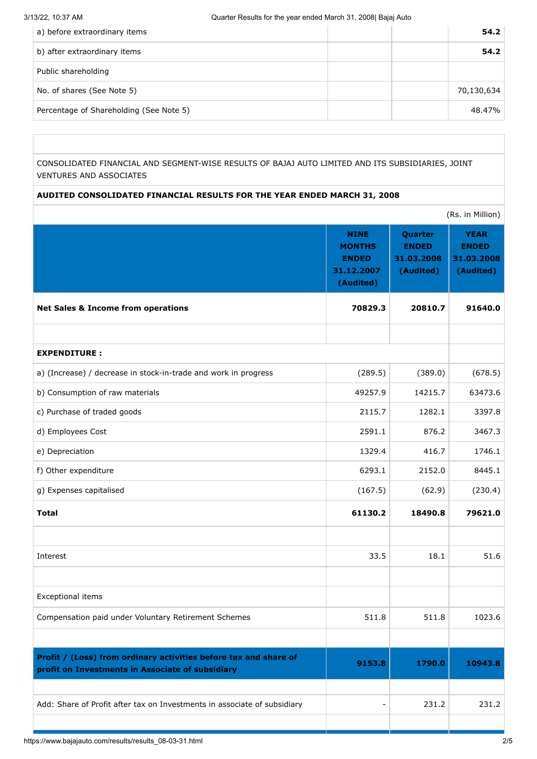| a) before extraordinary items           | 54.2       |
|-----------------------------------------|------------|
| b) after extraordinary items            | 54.2       |
| Public shareholding                     |            |
| No. of shares (See Note 5)              | 70,130,634 |
| Percentage of Shareholding (See Note 5) | 48.47%     |

CONSOLIDATED FINANCIAL AND SEGMENT-WISE RESULTS OF BAJAJ AUTO LIMITED AND ITS SUBSIDIARIES, JOINT VENTURES AND ASSOCIATES

# **AUDITED CONSOLIDATED FINANCIAL RESULTS FOR THE YEAR ENDED MARCH 31, 2008**

|                                                                                                                      |                                                                         |                                                    | (Rs. in Million)                                       |
|----------------------------------------------------------------------------------------------------------------------|-------------------------------------------------------------------------|----------------------------------------------------|--------------------------------------------------------|
|                                                                                                                      | <b>NINE</b><br><b>MONTHS</b><br><b>ENDED</b><br>31.12.2007<br>(Audited) | Quarter<br><b>ENDED</b><br>31.03.2008<br>(Audited) | <b>YEAR</b><br><b>ENDED</b><br>31.03.2008<br>(Audited) |
| <b>Net Sales &amp; Income from operations</b>                                                                        | 70829.3                                                                 | 20810.7                                            | 91640.0                                                |
|                                                                                                                      |                                                                         |                                                    |                                                        |
| <b>EXPENDITURE:</b>                                                                                                  |                                                                         |                                                    |                                                        |
| a) (Increase) / decrease in stock-in-trade and work in progress                                                      | (289.5)                                                                 | (389.0)                                            | (678.5)                                                |
| b) Consumption of raw materials                                                                                      | 49257.9                                                                 | 14215.7                                            | 63473.6                                                |
| c) Purchase of traded goods                                                                                          | 2115.7                                                                  | 1282.1                                             | 3397.8                                                 |
| d) Employees Cost                                                                                                    | 2591.1                                                                  | 876.2                                              | 3467.3                                                 |
| e) Depreciation                                                                                                      | 1329.4                                                                  | 416.7                                              | 1746.1                                                 |
| f) Other expenditure                                                                                                 | 6293.1                                                                  | 2152.0                                             | 8445.1                                                 |
| g) Expenses capitalised                                                                                              | (167.5)                                                                 | (62.9)                                             | (230.4)                                                |
| <b>Total</b>                                                                                                         | 61130.2                                                                 | 18490.8                                            | 79621.0                                                |
|                                                                                                                      |                                                                         |                                                    |                                                        |
| Interest                                                                                                             | 33.5                                                                    | 18.1                                               | 51.6                                                   |
|                                                                                                                      |                                                                         |                                                    |                                                        |
| Exceptional items                                                                                                    |                                                                         |                                                    |                                                        |
| Compensation paid under Voluntary Retirement Schemes                                                                 | 511.8                                                                   | 511.8                                              | 1023.6                                                 |
|                                                                                                                      |                                                                         |                                                    |                                                        |
| Profit / (Loss) from ordinary activities before tax and share of<br>profit on Investments in Associate of subsidiary | 9153.8                                                                  | 1790.0                                             | 10943.8                                                |
|                                                                                                                      |                                                                         |                                                    |                                                        |
| Add: Share of Profit after tax on Investments in associate of subsidiary                                             |                                                                         | 231.2                                              | 231.2                                                  |
|                                                                                                                      |                                                                         |                                                    |                                                        |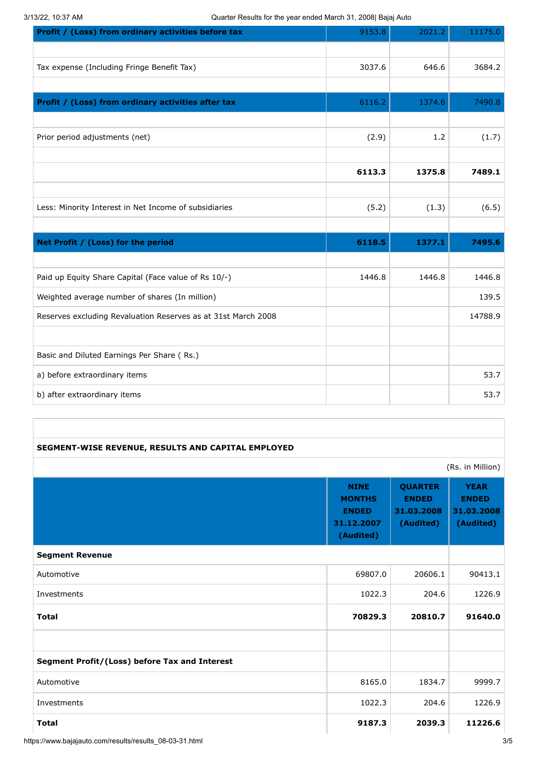3/13/22, 10:37 AM Quarter Results for the year ended March 31, 2008| Bajaj Auto

| Profit / (Loss) from ordinary activities before tax           | 9153.8 | 2021.2 | 11175.0 |
|---------------------------------------------------------------|--------|--------|---------|
|                                                               |        |        |         |
| Tax expense (Including Fringe Benefit Tax)                    | 3037.6 | 646.6  | 3684.2  |
|                                                               |        |        |         |
| Profit / (Loss) from ordinary activities after tax            | 6116.2 | 1374.6 | 7490.8  |
|                                                               |        |        |         |
| Prior period adjustments (net)                                | (2.9)  | 1.2    | (1.7)   |
|                                                               |        |        |         |
|                                                               | 6113.3 | 1375.8 | 7489.1  |
|                                                               |        |        |         |
| Less: Minority Interest in Net Income of subsidiaries         | (5.2)  | (1.3)  | (6.5)   |
|                                                               |        |        |         |
| Net Profit / (Loss) for the period                            | 6118.5 | 1377.1 | 7495.6  |
|                                                               |        |        |         |
| Paid up Equity Share Capital (Face value of Rs 10/-)          | 1446.8 | 1446.8 | 1446.8  |
| Weighted average number of shares (In million)                |        |        | 139.5   |
| Reserves excluding Revaluation Reserves as at 31st March 2008 |        |        | 14788.9 |
|                                                               |        |        |         |
| Basic and Diluted Earnings Per Share (Rs.)                    |        |        |         |
| a) before extraordinary items                                 |        |        | 53.7    |
| b) after extraordinary items                                  |        |        | 53.7    |

#### **SEGMENT-WISE REVENUE, RESULTS AND CAPITAL EMPLOYED**

(Rs. in Million)

|                                               | <b>NINE</b><br><b>MONTHS</b><br><b>ENDED</b><br>31.12.2007<br>(Audited) | <b>QUARTER</b><br><b>ENDED</b><br>31.03.2008<br>(Audited) | <b>YEAR</b><br><b>ENDED</b><br>31.03.2008<br>(Audited) |
|-----------------------------------------------|-------------------------------------------------------------------------|-----------------------------------------------------------|--------------------------------------------------------|
| <b>Segment Revenue</b>                        |                                                                         |                                                           |                                                        |
| Automotive                                    | 69807.0                                                                 | 20606.1                                                   | 90413.1                                                |
| Investments                                   | 1022.3                                                                  | 204.6                                                     | 1226.9                                                 |
| <b>Total</b>                                  | 70829.3                                                                 | 20810.7                                                   | 91640.0                                                |
|                                               |                                                                         |                                                           |                                                        |
| Segment Profit/(Loss) before Tax and Interest |                                                                         |                                                           |                                                        |
| Automotive                                    | 8165.0                                                                  | 1834.7                                                    | 9999.7                                                 |
| Investments                                   | 1022.3                                                                  | 204.6                                                     | 1226.9                                                 |
| <b>Total</b>                                  | 9187.3                                                                  | 2039.3                                                    | 11226.6                                                |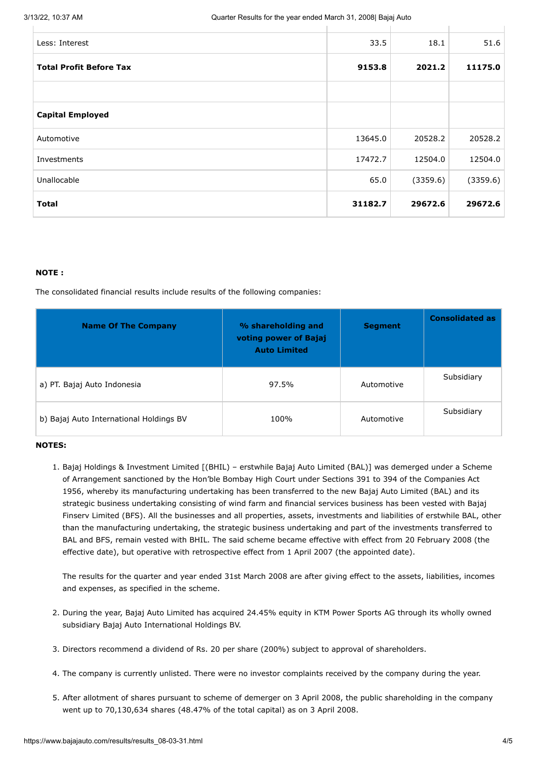| Less: Interest                 | 33.5    | 18.1     | 51.6     |
|--------------------------------|---------|----------|----------|
| <b>Total Profit Before Tax</b> | 9153.8  | 2021.2   | 11175.0  |
|                                |         |          |          |
| <b>Capital Employed</b>        |         |          |          |
| Automotive                     | 13645.0 | 20528.2  | 20528.2  |
| Investments                    | 17472.7 | 12504.0  | 12504.0  |
| Unallocable                    | 65.0    | (3359.6) | (3359.6) |
| <b>Total</b>                   | 31182.7 | 29672.6  | 29672.6  |

### **NOTE :**

The consolidated financial results include results of the following companies:

| <b>Name Of The Company</b>              | % shareholding and<br>voting power of Bajaj<br><b>Auto Limited</b> | <b>Segment</b> | <b>Consolidated as</b> |
|-----------------------------------------|--------------------------------------------------------------------|----------------|------------------------|
| a) PT. Bajaj Auto Indonesia             | 97.5%                                                              | Automotive     | Subsidiary             |
| b) Bajaj Auto International Holdings BV | 100%                                                               | Automotive     | Subsidiary             |

#### **NOTES:**

1. Bajaj Holdings & Investment Limited [(BHIL) – erstwhile Bajaj Auto Limited (BAL)] was demerged under a Scheme of Arrangement sanctioned by the Hon'ble Bombay High Court under Sections 391 to 394 of the Companies Act 1956, whereby its manufacturing undertaking has been transferred to the new Bajaj Auto Limited (BAL) and its strategic business undertaking consisting of wind farm and financial services business has been vested with Bajaj Finserv Limited (BFS). All the businesses and all properties, assets, investments and liabilities of erstwhile BAL, other than the manufacturing undertaking, the strategic business undertaking and part of the investments transferred to BAL and BFS, remain vested with BHIL. The said scheme became effective with effect from 20 February 2008 (the effective date), but operative with retrospective effect from 1 April 2007 (the appointed date).

The results for the quarter and year ended 31st March 2008 are after giving effect to the assets, liabilities, incomes and expenses, as specified in the scheme.

- 2. During the year, Bajaj Auto Limited has acquired 24.45% equity in KTM Power Sports AG through its wholly owned subsidiary Bajaj Auto International Holdings BV.
- 3. Directors recommend a dividend of Rs. 20 per share (200%) subject to approval of shareholders.
- 4. The company is currently unlisted. There were no investor complaints received by the company during the year.
- 5. After allotment of shares pursuant to scheme of demerger on 3 April 2008, the public shareholding in the company went up to 70,130,634 shares (48.47% of the total capital) as on 3 April 2008.